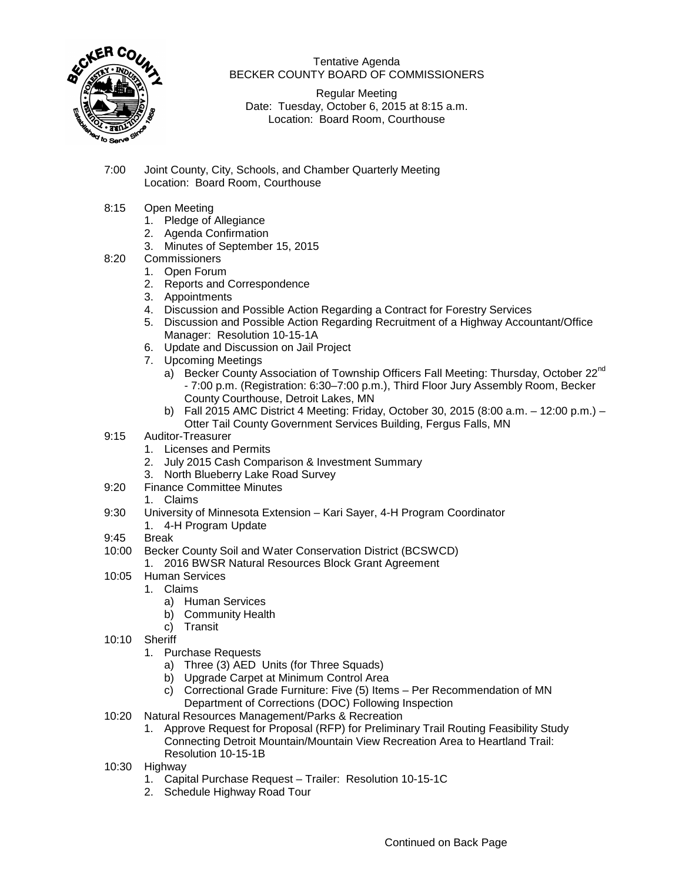

Tentative Agenda BECKER COUNTY BOARD OF COMMISSIONERS

Regular Meeting Date: Tuesday, October 6, 2015 at 8:15 a.m. Location: Board Room, Courthouse

- 7:00 Joint County, City, Schools, and Chamber Quarterly Meeting Location: Board Room, Courthouse
- 8:15 Open Meeting
	- 1. Pledge of Allegiance
	- 2. Agenda Confirmation
	- 3. Minutes of September 15, 2015
- 8:20 Commissioners
	- 1. Open Forum
	- 2. Reports and Correspondence
	- 3. Appointments
	- 4. Discussion and Possible Action Regarding a Contract for Forestry Services
	- 5. Discussion and Possible Action Regarding Recruitment of a Highway Accountant/Office Manager: Resolution 10-15-1A
	- 6. Update and Discussion on Jail Project
	- 7. Upcoming Meetings
		- a) Becker County Association of Township Officers Fall Meeting: Thursday, October 22<sup>nd</sup> - 7:00 p.m. (Registration: 6:30–7:00 p.m.), Third Floor Jury Assembly Room, Becker County Courthouse, Detroit Lakes, MN
		- b) Fall 2015 AMC District 4 Meeting: Friday, October 30, 2015 (8:00 a.m. 12:00 p.m.) Otter Tail County Government Services Building, Fergus Falls, MN
- 9:15 Auditor-Treasurer
	- 1. Licenses and Permits
	- 2. July 2015 Cash Comparison & Investment Summary
	- 3. North Blueberry Lake Road Survey
- 9:20 Finance Committee Minutes
	- 1. Claims
- 9:30 University of Minnesota Extension Kari Sayer, 4-H Program Coordinator
	- 1. 4-H Program Update
- 9:45 Break
- 10:00 Becker County Soil and Water Conservation District (BCSWCD)
	- 1. 2016 BWSR Natural Resources Block Grant Agreement
- 10:05 Human Services
	- 1. Claims
		- a) Human Services
		- b) Community Health
		- c) Transit
- 10:10 Sheriff
	- 1. Purchase Requests
		- a) Three (3) AED Units (for Three Squads)
		- b) Upgrade Carpet at Minimum Control Area
		- c) Correctional Grade Furniture: Five (5) Items Per Recommendation of MN Department of Corrections (DOC) Following Inspection
- 10:20 Natural Resources Management/Parks & Recreation
	- 1. Approve Request for Proposal (RFP) for Preliminary Trail Routing Feasibility Study Connecting Detroit Mountain/Mountain View Recreation Area to Heartland Trail: Resolution 10-15-1B
- 10:30 Highway
	- 1. Capital Purchase Request Trailer: Resolution 10-15-1C
	- 2. Schedule Highway Road Tour